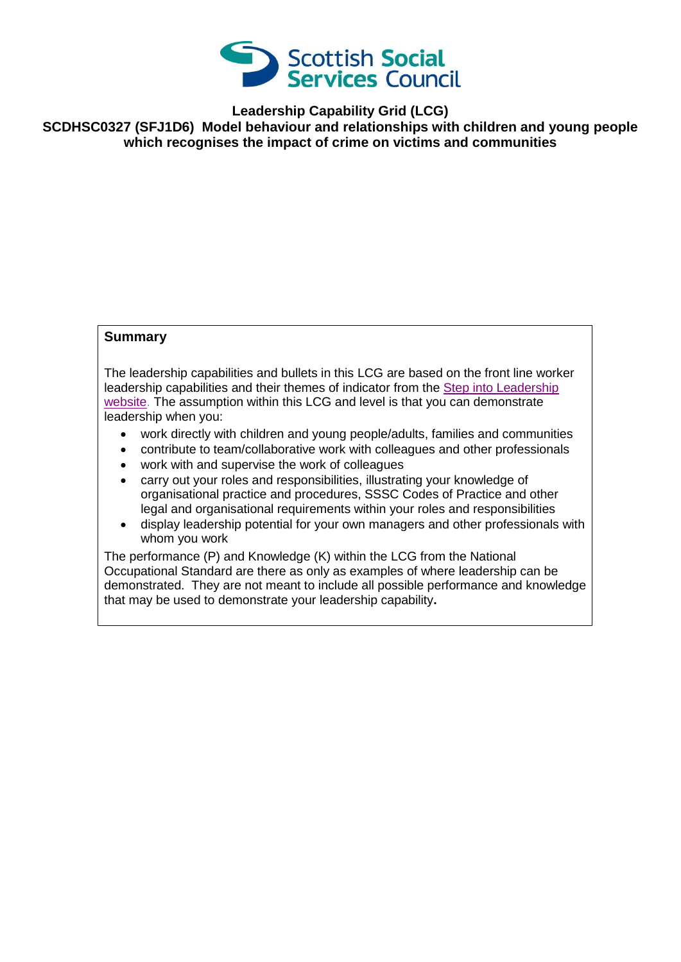

**Leadership Capability Grid (LCG)**

**SCDHSC0327 (SFJ1D6) Model behaviour and relationships with children and young people which recognises the impact of crime on victims and communities**

## **Summary**

The leadership capabilities and bullets in this LCG are based on the front line worker leadership capabilities and their themes of indicator from the [Step into Leadership](http://www.stepintoleadership.info/)  [website.](http://www.stepintoleadership.info/) The assumption within this LCG and level is that you can demonstrate leadership when you:

- work directly with children and young people/adults, families and communities
- contribute to team/collaborative work with colleagues and other professionals
- work with and supervise the work of colleagues
- carry out your roles and responsibilities, illustrating your knowledge of organisational practice and procedures, SSSC Codes of Practice and other legal and organisational requirements within your roles and responsibilities
- display leadership potential for your own managers and other professionals with whom you work

The performance (P) and Knowledge (K) within the LCG from the National Occupational Standard are there as only as examples of where leadership can be demonstrated. They are not meant to include all possible performance and knowledge that may be used to demonstrate your leadership capability**.**